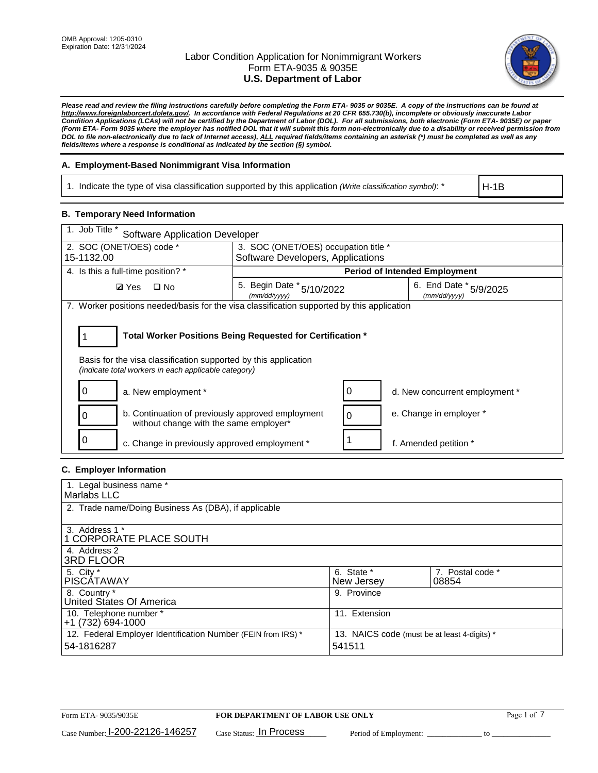

*Please read and review the filing instructions carefully before completing the Form ETA- 9035 or 9035E. A copy of the instructions can be found at http://www.foreignlaborcert.doleta.gov/. In accordance with Federal Regulations at 20 CFR 655.730(b), incomplete or obviously inaccurate Labor Condition Applications (LCAs) will not be certified by the Department of Labor (DOL). For all submissions, both electronic (Form ETA- 9035E) or paper (Form ETA- Form 9035 where the employer has notified DOL that it will submit this form non-electronically due to a disability or received permission from DOL to file non-electronically due to lack of Internet access), ALL required fields/items containing an asterisk (\*) must be completed as well as any fields/items where a response is conditional as indicated by the section (§) symbol.* 

## **A. Employment-Based Nonimmigrant Visa Information**

1. Indicate the type of visa classification supported by this application *(Write classification symbol)*: \*

H-1B

### **B. Temporary Need Information**

| 1. Job Title *<br><b>Software Application Developer</b>                                                                                                                               |                                                                                            |   |                                      |  |  |  |
|---------------------------------------------------------------------------------------------------------------------------------------------------------------------------------------|--------------------------------------------------------------------------------------------|---|--------------------------------------|--|--|--|
| 2. SOC (ONET/OES) code *                                                                                                                                                              | 3. SOC (ONET/OES) occupation title *                                                       |   |                                      |  |  |  |
| 15-1132.00                                                                                                                                                                            | Software Developers, Applications                                                          |   |                                      |  |  |  |
| 4. Is this a full-time position? *                                                                                                                                                    |                                                                                            |   | <b>Period of Intended Employment</b> |  |  |  |
| <b>Ø</b> Yes<br>$\Box$ No                                                                                                                                                             | 5. Begin Date * 5/10/2022<br>6. End Date * 5/9/2025<br>(mm/dd/vvvv)<br>(mm/dd/yyyy)        |   |                                      |  |  |  |
|                                                                                                                                                                                       | 7. Worker positions needed/basis for the visa classification supported by this application |   |                                      |  |  |  |
| Total Worker Positions Being Requested for Certification *<br>Basis for the visa classification supported by this application<br>(indicate total workers in each applicable category) |                                                                                            |   |                                      |  |  |  |
| a. New employment *                                                                                                                                                                   |                                                                                            |   | d. New concurrent employment *       |  |  |  |
| b. Continuation of previously approved employment<br>ი<br>without change with the same employer*                                                                                      |                                                                                            | 0 | e. Change in employer *              |  |  |  |
| c. Change in previously approved employment *                                                                                                                                         |                                                                                            |   | f. Amended petition *                |  |  |  |

## **C. Employer Information**

| 1. Legal business name *                                                   |                                                        |                           |
|----------------------------------------------------------------------------|--------------------------------------------------------|---------------------------|
| Marlabs LLC                                                                |                                                        |                           |
| 2. Trade name/Doing Business As (DBA), if applicable                       |                                                        |                           |
| 3. Address 1 *<br>1 CORPORATE PLACE SOUTH<br>4. Address 2                  |                                                        |                           |
| <b>3RD FLOOR</b>                                                           |                                                        |                           |
| 5. City *<br><b>PISCÁTAWAY</b>                                             | 6. State *<br>New Jersey                               | 7. Postal code *<br>08854 |
| 8. Country *<br>United States Of America                                   | 9. Province                                            |                           |
| 10. Telephone number *<br>$+1(732)694-1000$                                | 11. Extension                                          |                           |
| 12. Federal Employer Identification Number (FEIN from IRS) *<br>54-1816287 | 13. NAICS code (must be at least 4-digits) *<br>541511 |                           |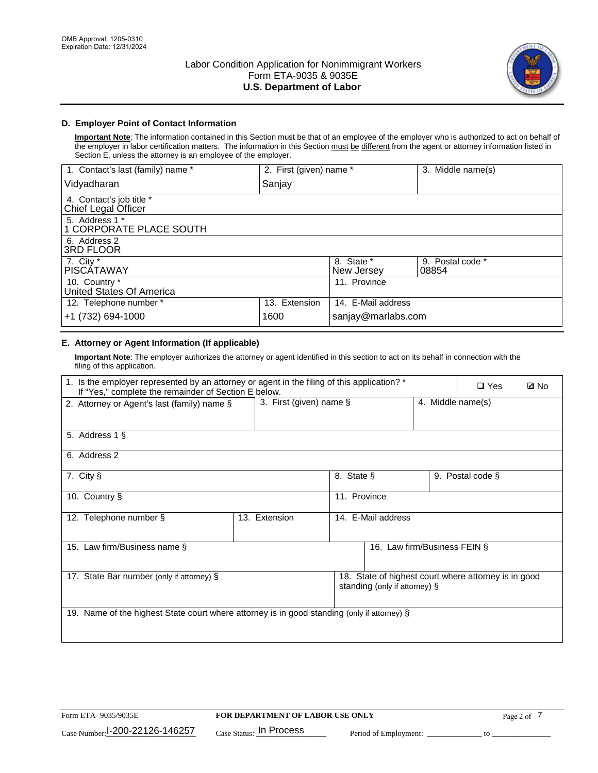

## **D. Employer Point of Contact Information**

**Important Note**: The information contained in this Section must be that of an employee of the employer who is authorized to act on behalf of the employer in labor certification matters. The information in this Section must be different from the agent or attorney information listed in Section E, unless the attorney is an employee of the employer.

| 1. Contact's last (family) name *               | 2. First (given) name * |                          | 3. Middle name(s)         |
|-------------------------------------------------|-------------------------|--------------------------|---------------------------|
| Vidyadharan                                     | Sanjay                  |                          |                           |
| 4. Contact's job title *<br>Chief Legal Officer |                         |                          |                           |
| 5. Address 1 *<br>1 CORPORATE PLACE SOUTH       |                         |                          |                           |
| 6. Address 2<br><b>3RD FLOOR</b>                |                         |                          |                           |
| 7. City *<br><b>PISCÁTAWAY</b>                  |                         | 8. State *<br>New Jersey | 9. Postal code *<br>08854 |
| 10. Country *<br>United States Of America       |                         | 11. Province             |                           |
| 12. Telephone number *                          | 13. Extension           | 14. E-Mail address       |                           |
| +1 (732) 694-1000                               | 1600                    | sanjay@marlabs.com       |                           |

# **E. Attorney or Agent Information (If applicable)**

**Important Note**: The employer authorizes the attorney or agent identified in this section to act on its behalf in connection with the filing of this application.

| 1. Is the employer represented by an attorney or agent in the filing of this application? *<br>If "Yes," complete the remainder of Section E below. |                         |              |                               |                   |                                                      | <b>ØNo</b> |
|-----------------------------------------------------------------------------------------------------------------------------------------------------|-------------------------|--------------|-------------------------------|-------------------|------------------------------------------------------|------------|
| 2. Attorney or Agent's last (family) name §                                                                                                         | 3. First (given) name § |              |                               | 4. Middle name(s) |                                                      |            |
| 5. Address 1 §                                                                                                                                      |                         |              |                               |                   |                                                      |            |
| 6. Address 2                                                                                                                                        |                         |              |                               |                   |                                                      |            |
| 7. City §                                                                                                                                           |                         | 8. State §   |                               |                   | 9. Postal code §                                     |            |
| 10. Country §                                                                                                                                       |                         | 11. Province |                               |                   |                                                      |            |
| 12. Telephone number §                                                                                                                              | 13. Extension           |              | 14. E-Mail address            |                   |                                                      |            |
| 15. Law firm/Business name §                                                                                                                        |                         |              | 16. Law firm/Business FEIN §  |                   |                                                      |            |
| 17. State Bar number (only if attorney) §                                                                                                           |                         |              | standing (only if attorney) § |                   | 18. State of highest court where attorney is in good |            |
| 19. Name of the highest State court where attorney is in good standing (only if attorney) §                                                         |                         |              |                               |                   |                                                      |            |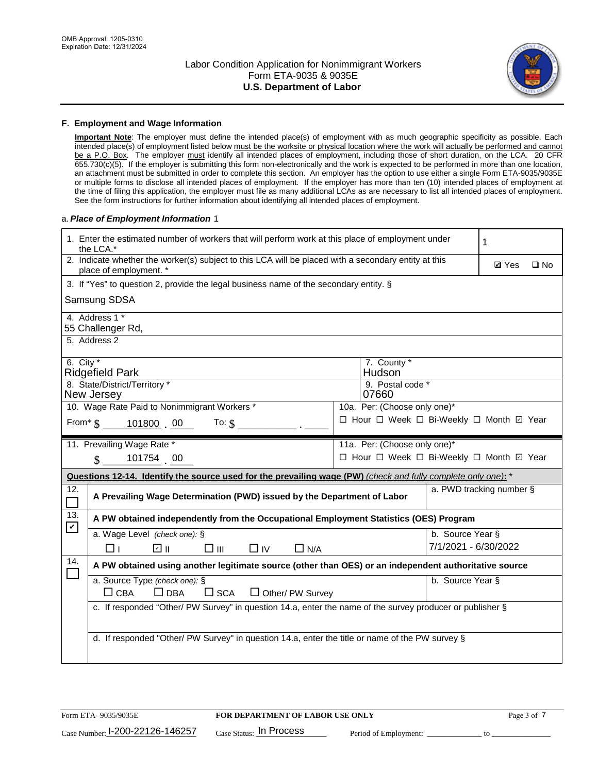

#### **F. Employment and Wage Information**

**Important Note**: The employer must define the intended place(s) of employment with as much geographic specificity as possible. Each intended place(s) of employment listed below must be the worksite or physical location where the work will actually be performed and cannot be a P.O. Box. The employer must identify all intended places of employment, including those of short duration, on the LCA. 20 CFR 655.730(c)(5). If the employer is submitting this form non-electronically and the work is expected to be performed in more than one location, an attachment must be submitted in order to complete this section. An employer has the option to use either a single Form ETA-9035/9035E or multiple forms to disclose all intended places of employment. If the employer has more than ten (10) intended places of employment at the time of filing this application, the employer must file as many additional LCAs as are necessary to list all intended places of employment. See the form instructions for further information about identifying all intended places of employment.

#### a.*Place of Employment Information* 1

|                                                                              | 1. Enter the estimated number of workers that will perform work at this place of employment under<br>the LCA.*                 |  | 1                                        |                      |                          |              |  |  |
|------------------------------------------------------------------------------|--------------------------------------------------------------------------------------------------------------------------------|--|------------------------------------------|----------------------|--------------------------|--------------|--|--|
|                                                                              | 2. Indicate whether the worker(s) subject to this LCA will be placed with a secondary entity at this<br>place of employment. * |  |                                          |                      | <b>Ø</b> Yes             | $\square$ No |  |  |
|                                                                              | 3. If "Yes" to question 2, provide the legal business name of the secondary entity. §                                          |  |                                          |                      |                          |              |  |  |
|                                                                              | Samsung SDSA                                                                                                                   |  |                                          |                      |                          |              |  |  |
|                                                                              | 4. Address 1 *<br>55 Challenger Rd,                                                                                            |  |                                          |                      |                          |              |  |  |
|                                                                              | 5. Address 2                                                                                                                   |  |                                          |                      |                          |              |  |  |
|                                                                              | 6. City $*$<br>7. County *<br><b>Ridgefield Park</b><br>Hudson <sup>®</sup>                                                    |  |                                          |                      |                          |              |  |  |
| 8. State/District/Territory *<br>9. Postal code *<br>New Jersey<br>07660     |                                                                                                                                |  |                                          |                      |                          |              |  |  |
| 10. Wage Rate Paid to Nonimmigrant Workers *<br>10a. Per: (Choose only one)* |                                                                                                                                |  |                                          |                      |                          |              |  |  |
|                                                                              | □ Hour □ Week □ Bi-Weekly □ Month □ Year<br>From* \$101800 00<br>To: $\mathsf{\$}$                                             |  |                                          |                      |                          |              |  |  |
|                                                                              | 11. Prevailing Wage Rate *<br>11a. Per: (Choose only one)*                                                                     |  |                                          |                      |                          |              |  |  |
|                                                                              | 101754 00<br>$\mathbf{\$}$                                                                                                     |  | □ Hour □ Week □ Bi-Weekly □ Month ☑ Year |                      |                          |              |  |  |
|                                                                              | Questions 12-14. Identify the source used for the prevailing wage (PW) (check and fully complete only one): *                  |  |                                          |                      |                          |              |  |  |
| 12.                                                                          | A Prevailing Wage Determination (PWD) issued by the Department of Labor                                                        |  |                                          |                      | a. PWD tracking number § |              |  |  |
| 13.                                                                          | A PW obtained independently from the Occupational Employment Statistics (OES) Program                                          |  |                                          |                      |                          |              |  |  |
| $\blacktriangledown$                                                         | a. Wage Level (check one): §                                                                                                   |  |                                          | b. Source Year §     |                          |              |  |  |
|                                                                              | ☑ ⊪<br>$\square$ $\square$<br>$\square$ IV<br>$\Box$ N/A<br>□⊥                                                                 |  |                                          | 7/1/2021 - 6/30/2022 |                          |              |  |  |
| 14.                                                                          | A PW obtained using another legitimate source (other than OES) or an independent authoritative source                          |  |                                          |                      |                          |              |  |  |
|                                                                              | a. Source Type (check one): §<br>b. Source Year §<br>$\Box$ CBA<br>$\Box$ DBA<br>$\square$ SCA<br>$\Box$ Other/ PW Survey      |  |                                          |                      |                          |              |  |  |
|                                                                              | c. If responded "Other/ PW Survey" in question 14.a, enter the name of the survey producer or publisher §                      |  |                                          |                      |                          |              |  |  |
|                                                                              | d. If responded "Other/ PW Survey" in question 14.a, enter the title or name of the PW survey §                                |  |                                          |                      |                          |              |  |  |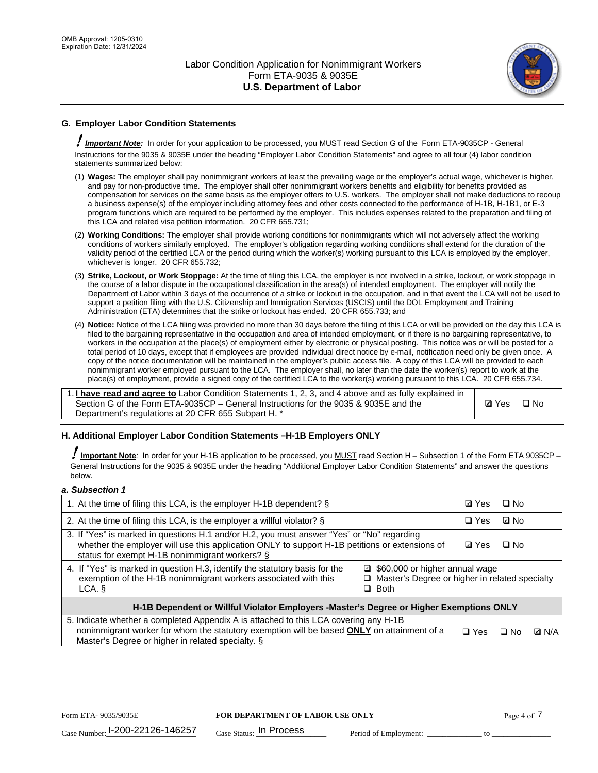

# **G. Employer Labor Condition Statements**

! *Important Note:* In order for your application to be processed, you MUST read Section G of the Form ETA-9035CP - General Instructions for the 9035 & 9035E under the heading "Employer Labor Condition Statements" and agree to all four (4) labor condition statements summarized below:

- (1) **Wages:** The employer shall pay nonimmigrant workers at least the prevailing wage or the employer's actual wage, whichever is higher, and pay for non-productive time. The employer shall offer nonimmigrant workers benefits and eligibility for benefits provided as compensation for services on the same basis as the employer offers to U.S. workers. The employer shall not make deductions to recoup a business expense(s) of the employer including attorney fees and other costs connected to the performance of H-1B, H-1B1, or E-3 program functions which are required to be performed by the employer. This includes expenses related to the preparation and filing of this LCA and related visa petition information. 20 CFR 655.731;
- (2) **Working Conditions:** The employer shall provide working conditions for nonimmigrants which will not adversely affect the working conditions of workers similarly employed. The employer's obligation regarding working conditions shall extend for the duration of the validity period of the certified LCA or the period during which the worker(s) working pursuant to this LCA is employed by the employer, whichever is longer. 20 CFR 655.732;
- (3) **Strike, Lockout, or Work Stoppage:** At the time of filing this LCA, the employer is not involved in a strike, lockout, or work stoppage in the course of a labor dispute in the occupational classification in the area(s) of intended employment. The employer will notify the Department of Labor within 3 days of the occurrence of a strike or lockout in the occupation, and in that event the LCA will not be used to support a petition filing with the U.S. Citizenship and Immigration Services (USCIS) until the DOL Employment and Training Administration (ETA) determines that the strike or lockout has ended. 20 CFR 655.733; and
- (4) **Notice:** Notice of the LCA filing was provided no more than 30 days before the filing of this LCA or will be provided on the day this LCA is filed to the bargaining representative in the occupation and area of intended employment, or if there is no bargaining representative, to workers in the occupation at the place(s) of employment either by electronic or physical posting. This notice was or will be posted for a total period of 10 days, except that if employees are provided individual direct notice by e-mail, notification need only be given once. A copy of the notice documentation will be maintained in the employer's public access file. A copy of this LCA will be provided to each nonimmigrant worker employed pursuant to the LCA. The employer shall, no later than the date the worker(s) report to work at the place(s) of employment, provide a signed copy of the certified LCA to the worker(s) working pursuant to this LCA. 20 CFR 655.734.

1. **I have read and agree to** Labor Condition Statements 1, 2, 3, and 4 above and as fully explained in Section G of the Form ETA-9035CP – General Instructions for the 9035 & 9035E and the Department's regulations at 20 CFR 655 Subpart H. \*

**Ø**Yes ロNo

### **H. Additional Employer Labor Condition Statements –H-1B Employers ONLY**

!**Important Note***:* In order for your H-1B application to be processed, you MUST read Section H – Subsection 1 of the Form ETA 9035CP – General Instructions for the 9035 & 9035E under the heading "Additional Employer Labor Condition Statements" and answer the questions below.

#### *a. Subsection 1*

| 1. At the time of filing this LCA, is the employer H-1B dependent? §                                                                                                                                                                                            |            | ⊡ Yes | $\square$ No |  |
|-----------------------------------------------------------------------------------------------------------------------------------------------------------------------------------------------------------------------------------------------------------------|------------|-------|--------------|--|
| 2. At the time of filing this LCA, is the employer a willful violator? $\S$                                                                                                                                                                                     |            |       | ⊡ No         |  |
| 3. If "Yes" is marked in questions H.1 and/or H.2, you must answer "Yes" or "No" regarding<br>whether the employer will use this application ONLY to support H-1B petitions or extensions of<br>status for exempt H-1B nonimmigrant workers? §                  |            |       | $\Box$ No    |  |
| 4. If "Yes" is marked in question H.3, identify the statutory basis for the<br>■ \$60,000 or higher annual wage<br>exemption of the H-1B nonimmigrant workers associated with this<br>□ Master's Degree or higher in related specialty<br>$\Box$ Both<br>LCA. § |            |       |              |  |
| H-1B Dependent or Willful Violator Employers -Master's Degree or Higher Exemptions ONLY                                                                                                                                                                         |            |       |              |  |
| 5. Indicate whether a completed Appendix A is attached to this LCA covering any H-1B<br>nonimmigrant worker for whom the statutory exemption will be based <b>ONLY</b> on attainment of a<br>Master's Degree or higher in related specialty. §                  | $\Box$ Yes | ⊡ No  | <b>Q</b> N/A |  |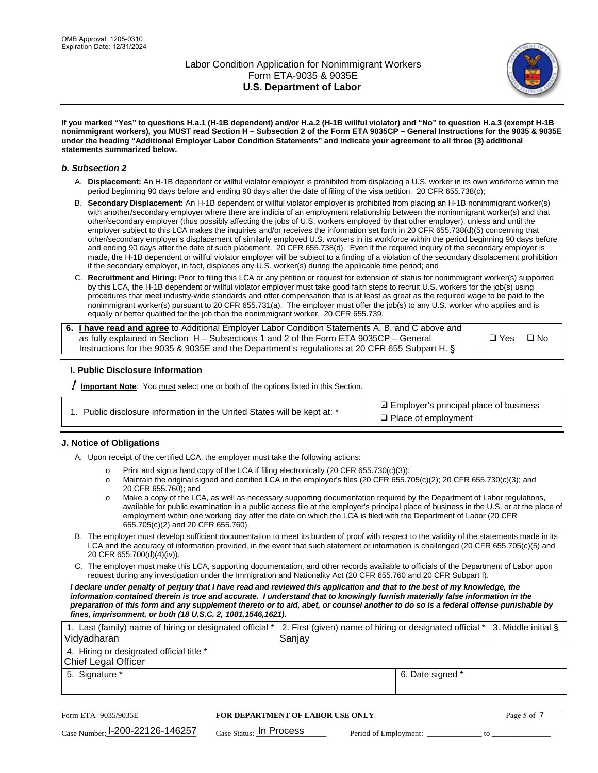

**If you marked "Yes" to questions H.a.1 (H-1B dependent) and/or H.a.2 (H-1B willful violator) and "No" to question H.a.3 (exempt H-1B nonimmigrant workers), you MUST read Section H – Subsection 2 of the Form ETA 9035CP – General Instructions for the 9035 & 9035E under the heading "Additional Employer Labor Condition Statements" and indicate your agreement to all three (3) additional statements summarized below.**

#### *b. Subsection 2*

- A. **Displacement:** An H-1B dependent or willful violator employer is prohibited from displacing a U.S. worker in its own workforce within the period beginning 90 days before and ending 90 days after the date of filing of the visa petition. 20 CFR 655.738(c);
- B. **Secondary Displacement:** An H-1B dependent or willful violator employer is prohibited from placing an H-1B nonimmigrant worker(s) with another/secondary employer where there are indicia of an employment relationship between the nonimmigrant worker(s) and that other/secondary employer (thus possibly affecting the jobs of U.S. workers employed by that other employer), unless and until the employer subject to this LCA makes the inquiries and/or receives the information set forth in 20 CFR 655.738(d)(5) concerning that other/secondary employer's displacement of similarly employed U.S. workers in its workforce within the period beginning 90 days before and ending 90 days after the date of such placement. 20 CFR 655.738(d). Even if the required inquiry of the secondary employer is made, the H-1B dependent or willful violator employer will be subject to a finding of a violation of the secondary displacement prohibition if the secondary employer, in fact, displaces any U.S. worker(s) during the applicable time period; and
- C. **Recruitment and Hiring:** Prior to filing this LCA or any petition or request for extension of status for nonimmigrant worker(s) supported by this LCA, the H-1B dependent or willful violator employer must take good faith steps to recruit U.S. workers for the job(s) using procedures that meet industry-wide standards and offer compensation that is at least as great as the required wage to be paid to the nonimmigrant worker(s) pursuant to 20 CFR 655.731(a). The employer must offer the job(s) to any U.S. worker who applies and is equally or better qualified for the job than the nonimmigrant worker. 20 CFR 655.739.

| 6. I have read and agree to Additional Employer Labor Condition Statements A, B, and C above and |       |           |
|--------------------------------------------------------------------------------------------------|-------|-----------|
| as fully explained in Section H – Subsections 1 and 2 of the Form ETA 9035CP – General           | □ Yes | $\Box$ No |
| Instructions for the 9035 & 9035E and the Department's regulations at 20 CFR 655 Subpart H. §    |       |           |

### **I. Public Disclosure Information**

! **Important Note***:* You must select one or both of the options listed in this Section.

| 1. Public disclosure information in the United States will be kept at: * |  |  |  |  |  |  |  |
|--------------------------------------------------------------------------|--|--|--|--|--|--|--|
|--------------------------------------------------------------------------|--|--|--|--|--|--|--|

**sqrt** Employer's principal place of business □ Place of employment

### **J. Notice of Obligations**

A. Upon receipt of the certified LCA, the employer must take the following actions:

- o Print and sign a hard copy of the LCA if filing electronically (20 CFR 655.730(c)(3));<br>
Maintain the original signed and certified LCA in the employer's files (20 CFR 655.7
- Maintain the original signed and certified LCA in the employer's files (20 CFR 655.705(c)(2); 20 CFR 655.730(c)(3); and 20 CFR 655.760); and
- o Make a copy of the LCA, as well as necessary supporting documentation required by the Department of Labor regulations, available for public examination in a public access file at the employer's principal place of business in the U.S. or at the place of employment within one working day after the date on which the LCA is filed with the Department of Labor (20 CFR 655.705(c)(2) and 20 CFR 655.760).
- B. The employer must develop sufficient documentation to meet its burden of proof with respect to the validity of the statements made in its LCA and the accuracy of information provided, in the event that such statement or information is challenged (20 CFR 655.705(c)(5) and 20 CFR 655.700(d)(4)(iv)).
- C. The employer must make this LCA, supporting documentation, and other records available to officials of the Department of Labor upon request during any investigation under the Immigration and Nationality Act (20 CFR 655.760 and 20 CFR Subpart I).

*I declare under penalty of perjury that I have read and reviewed this application and that to the best of my knowledge, the*  information contained therein is true and accurate. I understand that to knowingly furnish materially false information in the *preparation of this form and any supplement thereto or to aid, abet, or counsel another to do so is a federal offense punishable by fines, imprisonment, or both (18 U.S.C. 2, 1001,1546,1621).*

| 1. Last (family) name of hiring or designated official *   2. First (given) name of hiring or designated official *   3. Middle initial §<br>Vidyadharan | Saniav           |  |
|----------------------------------------------------------------------------------------------------------------------------------------------------------|------------------|--|
| 4. Hiring or designated official title *<br>Chief Legal Officer                                                                                          |                  |  |
| 5. Signature *                                                                                                                                           | 6. Date signed * |  |

| Form ETA-9035/9035E                         | <b>FOR DEPARTMENT OF LABOR USE ONLY</b> | Page 5 of 7           |  |
|---------------------------------------------|-----------------------------------------|-----------------------|--|
| $_{\text{Case Number:}}$ I-200-22126-146257 | $_{Case\; Status:}$ In Process          | Period of Employment: |  |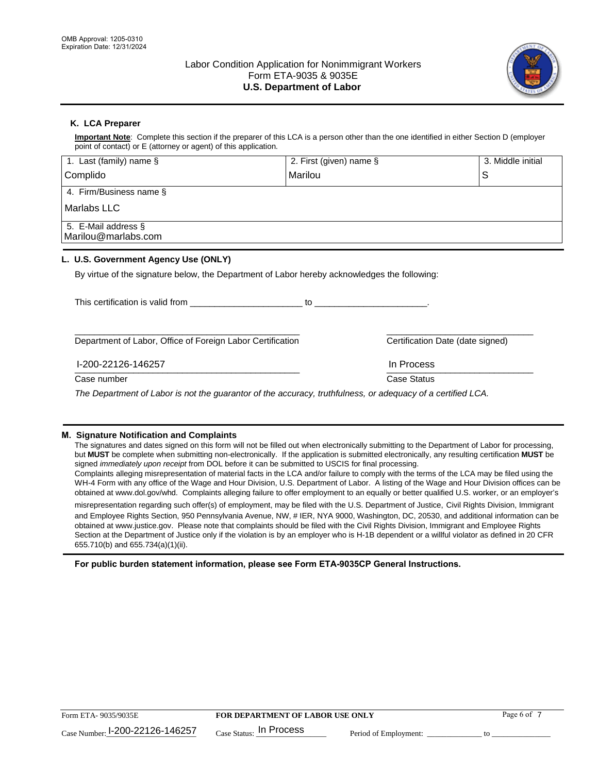

# **K. LCA Preparer**

**Important Note**: Complete this section if the preparer of this LCA is a person other than the one identified in either Section D (employer point of contact) or E (attorney or agent) of this application.

| 1. Last (family) name $\S$                                                                   | 2. First (given) name §                                                                                                                                                                                                       | 3. Middle initial                |
|----------------------------------------------------------------------------------------------|-------------------------------------------------------------------------------------------------------------------------------------------------------------------------------------------------------------------------------|----------------------------------|
| Complido                                                                                     | Marilou                                                                                                                                                                                                                       | S                                |
| 4. Firm/Business name §                                                                      |                                                                                                                                                                                                                               |                                  |
| <b>Marlabs LLC</b>                                                                           |                                                                                                                                                                                                                               |                                  |
| 5. E-Mail address §<br>Marilou@marlabs.com                                                   |                                                                                                                                                                                                                               |                                  |
| L. U.S. Government Agency Use (ONLY)                                                         |                                                                                                                                                                                                                               |                                  |
| By virtue of the signature below, the Department of Labor hereby acknowledges the following: |                                                                                                                                                                                                                               |                                  |
| This certification is valid from This certification                                          | $10$ . The contract of the contract of the contract of the contract of the contract of the contract of the contract of the contract of the contract of the contract of the contract of the contract of the contract of the co |                                  |
| Department of Labor, Office of Foreign Labor Certification                                   |                                                                                                                                                                                                                               | Certification Date (date signed) |
| I-200-22126-146257                                                                           | In Process                                                                                                                                                                                                                    |                                  |
| Case number                                                                                  | <b>Case Status</b>                                                                                                                                                                                                            |                                  |

*The Department of Labor is not the guarantor of the accuracy, truthfulness, or adequacy of a certified LCA.*

#### **M. Signature Notification and Complaints**

The signatures and dates signed on this form will not be filled out when electronically submitting to the Department of Labor for processing, but **MUST** be complete when submitting non-electronically. If the application is submitted electronically, any resulting certification **MUST** be signed *immediately upon receipt* from DOL before it can be submitted to USCIS for final processing.

Complaints alleging misrepresentation of material facts in the LCA and/or failure to comply with the terms of the LCA may be filed using the WH-4 Form with any office of the Wage and Hour Division, U.S. Department of Labor. A listing of the Wage and Hour Division offices can be obtained at www.dol.gov/whd. Complaints alleging failure to offer employment to an equally or better qualified U.S. worker, or an employer's

misrepresentation regarding such offer(s) of employment, may be filed with the U.S. Department of Justice, Civil Rights Division, Immigrant and Employee Rights Section, 950 Pennsylvania Avenue, NW, # IER, NYA 9000, Washington, DC, 20530, and additional information can be obtained at www.justice.gov. Please note that complaints should be filed with the Civil Rights Division, Immigrant and Employee Rights Section at the Department of Justice only if the violation is by an employer who is H-1B dependent or a willful violator as defined in 20 CFR 655.710(b) and 655.734(a)(1)(ii).

**For public burden statement information, please see Form ETA-9035CP General Instructions.**

| Form ETA-9035/9035E             | <b>FOR DEPARTMENT OF LABOR USE ONLY</b> | Page 6 of             |  |
|---------------------------------|-----------------------------------------|-----------------------|--|
| Case Number: 1-200-22126-146257 | . In Process<br>Case Status:            | Period of Employment: |  |